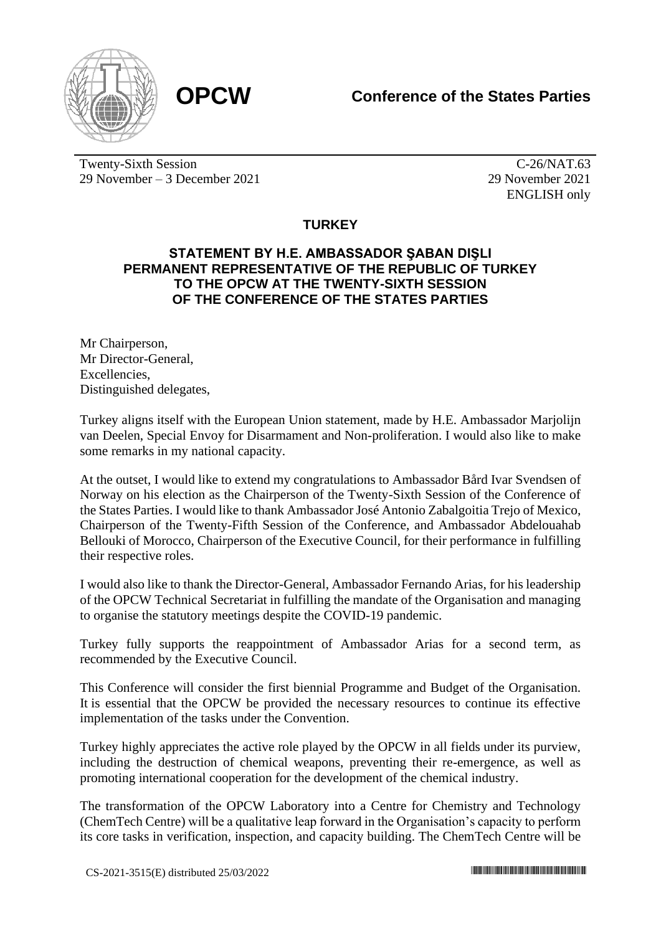



Twenty-Sixth Session 29 November – 3 December 2021

C-26/NAT.63 29 November 2021 ENGLISH only

## **TURKEY**

## **STATEMENT BY H.E. AMBASSADOR ŞABAN DIŞLI PERMANENT REPRESENTATIVE OF THE REPUBLIC OF TURKEY TO THE OPCW AT THE TWENTY-SIXTH SESSION OF THE CONFERENCE OF THE STATES PARTIES**

Mr Chairperson, Mr Director-General, **Excellencies** Distinguished delegates,

Turkey aligns itself with the European Union statement, made by H.E. Ambassador Marjolijn van Deelen, Special Envoy for Disarmament and Non-proliferation. I would also like to make some remarks in my national capacity.

At the outset, I would like to extend my congratulations to Ambassador Bård Ivar Svendsen of Norway on his election as the Chairperson of the Twenty-Sixth Session of the Conference of the States Parties. I would like to thank Ambassador José Antonio Zabalgoitia Trejo of Mexico, Chairperson of the Twenty-Fifth Session of the Conference, and Ambassador Abdelouahab Bellouki of Morocco, Chairperson of the Executive Council, for their performance in fulfilling their respective roles.

I would also like to thank the Director-General, Ambassador Fernando Arias, for his leadership of the OPCW Technical Secretariat in fulfilling the mandate of the Organisation and managing to organise the statutory meetings despite the COVID-19 pandemic.

Turkey fully supports the reappointment of Ambassador Arias for a second term, as recommended by the Executive Council.

This Conference will consider the first biennial Programme and Budget of the Organisation. It is essential that the OPCW be provided the necessary resources to continue its effective implementation of the tasks under the Convention.

Turkey highly appreciates the active role played by the OPCW in all fields under its purview, including the destruction of chemical weapons, preventing their re-emergence, as well as promoting international cooperation for the development of the chemical industry.

The transformation of the OPCW Laboratory into a Centre for Chemistry and Technology (ChemTech Centre) will be a qualitative leap forward in the Organisation's capacity to perform its core tasks in verification, inspection, and capacity building. The ChemTech Centre will be